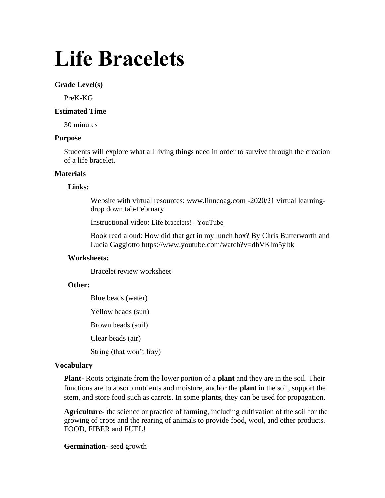# **Life Bracelets**

## **Grade Level(s)**

PreK-KG

# **Estimated Time**

30 minutes

#### **Purpose**

Students will explore what all living things need in order to survive through the creation of a life bracelet.

#### **Materials**

#### **Links:**

Website with virtual resources: [www.linncoag.com](http://www.linncoag.com/) -2020/21 virtual learningdrop down tab-February

Instructional video: [Life bracelets! -](https://www.youtube.com/watch?v=uphZDfZhCpI) YouTube

Book read aloud: How did that get in my lunch box? By Chris Butterworth and Lucia Gaggiotto<https://www.youtube.com/watch?v=dhVKIm5yItk>

#### **Worksheets:**

Bracelet review worksheet

### **Other:**

Blue beads (water) Yellow beads (sun) Brown beads (soil) Clear beads (air) String (that won't fray)

#### **Vocabulary**

**Plant-** Roots originate from the lower portion of a **plant** and they are in the soil. Their functions are to absorb nutrients and moisture, anchor the **plant** in the soil, support the stem, and store food such as carrots. In some **plants**, they can be used for propagation.

**Agriculture-** the science or practice of farming, including cultivation of the soil for the growing of crops and the rearing of animals to provide food, wool, and other products. FOOD, FIBER and FUEL!

#### **Germination-** seed growth